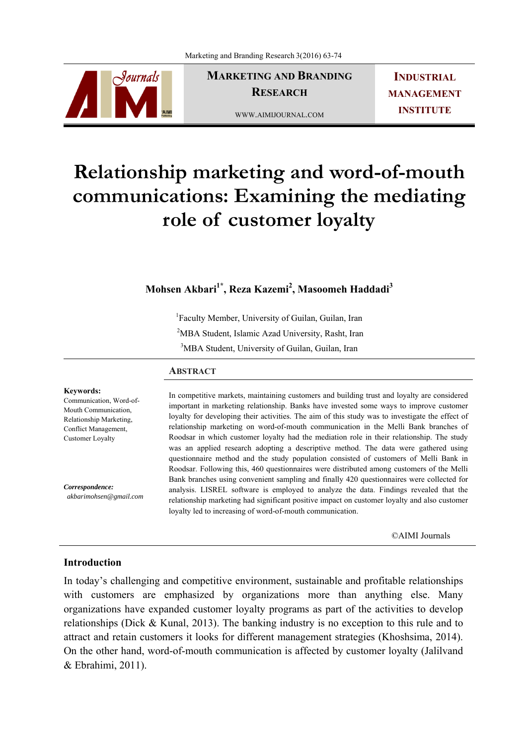

**MARKETING AND BRANDING RESEARCH** 

WWW.AIMIJOURNAL.COM

**INDUSTRIAL MANAGEMENT INSTITUTE**

# **Relationship marketing and word-of-mouth communications: Examining the mediating role of customer loyalty**

# **Mohsen Akbari1\*, Reza Kazemi2 , Masoomeh Haddadi<sup>3</sup>**

<sup>1</sup>Faculty Member, University of Guilan, Guilan, Iran

<sup>2</sup>MBA Student, Islamic Azad University, Rasht, Iran

<sup>3</sup>MBA Student, University of Guilan, Guilan, Iran

## **ABSTRACT**

**Keywords:**  Communication, Word-of-Mouth Communication, Relationship Marketing, Conflict Management, Customer Loyalty

*Correspondence: akbarimohsen@gmail.com* In competitive markets, maintaining customers and building trust and loyalty are considered important in marketing relationship. Banks have invested some ways to improve customer loyalty for developing their activities. The aim of this study was to investigate the effect of relationship marketing on word-of-mouth communication in the Melli Bank branches of Roodsar in which customer loyalty had the mediation role in their relationship. The study was an applied research adopting a descriptive method. The data were gathered using questionnaire method and the study population consisted of customers of Melli Bank in Roodsar. Following this, 460 questionnaires were distributed among customers of the Melli Bank branches using convenient sampling and finally 420 questionnaires were collected for analysis. LISREL software is employed to analyze the data. Findings revealed that the relationship marketing had significant positive impact on customer loyalty and also customer loyalty led to increasing of word-of-mouth communication.

©AIMI Journals

# **Introduction**

In today's challenging and competitive environment, sustainable and profitable relationships with customers are emphasized by organizations more than anything else. Many organizations have expanded customer loyalty programs as part of the activities to develop relationships (Dick & Kunal, 2013). The banking industry is no exception to this rule and to attract and retain customers it looks for different management strategies (Khoshsima, 2014). On the other hand, word-of-mouth communication is affected by customer loyalty (Jalilvand & Ebrahimi, 2011).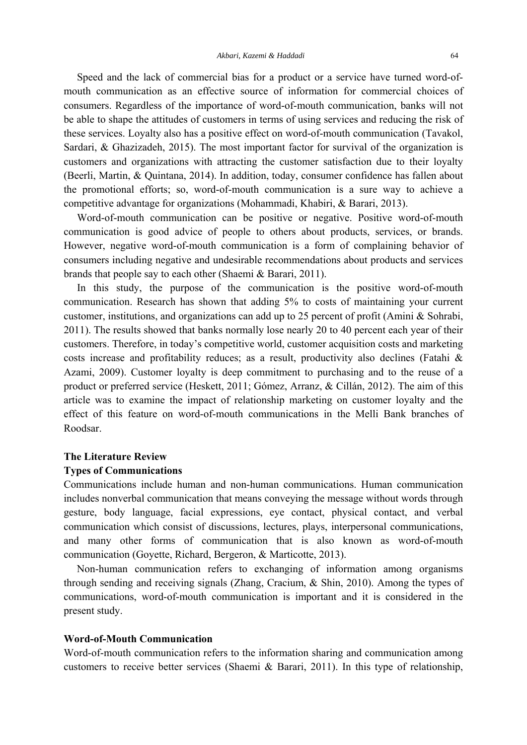Speed and the lack of commercial bias for a product or a service have turned word-ofmouth communication as an effective source of information for commercial choices of consumers. Regardless of the importance of word-of-mouth communication, banks will not be able to shape the attitudes of customers in terms of using services and reducing the risk of these services. Loyalty also has a positive effect on word-of-mouth communication (Tavakol, Sardari, & Ghazizadeh, 2015). The most important factor for survival of the organization is customers and organizations with attracting the customer satisfaction due to their loyalty (Beerli, Martin, & Quintana, 2014). In addition, today, consumer confidence has fallen about the promotional efforts; so, word-of-mouth communication is a sure way to achieve a competitive advantage for organizations (Mohammadi, Khabiri, & Barari, 2013).

 Word-of-mouth communication can be positive or negative. Positive word-of-mouth communication is good advice of people to others about products, services, or brands. However, negative word-of-mouth communication is a form of complaining behavior of consumers including negative and undesirable recommendations about products and services brands that people say to each other (Shaemi & Barari, 2011).

 In this study, the purpose of the communication is the positive word-of-mouth communication. Research has shown that adding 5% to costs of maintaining your current customer, institutions, and organizations can add up to 25 percent of profit (Amini & Sohrabi, 2011). The results showed that banks normally lose nearly 20 to 40 percent each year of their customers. Therefore, in today's competitive world, customer acquisition costs and marketing costs increase and profitability reduces; as a result, productivity also declines (Fatahi & Azami, 2009). Customer loyalty is deep commitment to purchasing and to the reuse of a product or preferred service (Heskett, 2011; Gómez, Arranz, & Cillán, 2012). The aim of this article was to examine the impact of relationship marketing on customer loyalty and the effect of this feature on word-of-mouth communications in the Melli Bank branches of Roodsar.

## **The Literature Review**

## **Types of Communications**

Communications include human and non-human communications. Human communication includes nonverbal communication that means conveying the message without words through gesture, body language, facial expressions, eye contact, physical contact, and verbal communication which consist of discussions, lectures, plays, interpersonal communications, and many other forms of communication that is also known as word-of-mouth communication (Goyette, Richard, Bergeron, & Marticotte, 2013).

 Non-human communication refers to exchanging of information among organisms through sending and receiving signals (Zhang, Cracium, & Shin, 2010). Among the types of communications, word-of-mouth communication is important and it is considered in the present study.

# **Word-of-Mouth Communication**

Word-of-mouth communication refers to the information sharing and communication among customers to receive better services (Shaemi & Barari, 2011). In this type of relationship,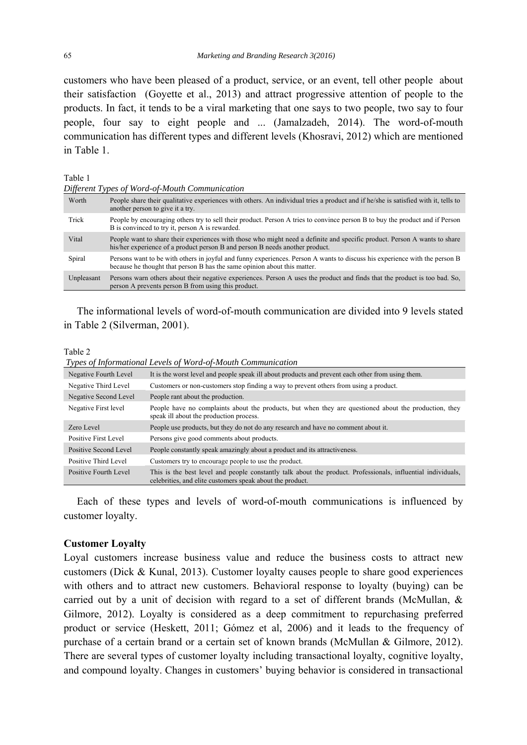customers who have been pleased of a product, service, or an event, tell other people about their satisfaction (Goyette et al., 2013) and attract progressive attention of people to the products. In fact, it tends to be a viral marketing that one says to two people, two say to four people, four say to eight people and ... (Jamalzadeh, 2014). The word-of-mouth communication has different types and different levels (Khosravi, 2012) which are mentioned in Table 1.

#### Table 1

*Different Types of Word-of-Mouth Communication* 

| Worth      | People share their qualitative experiences with others. An individual tries a product and if he/she is satisfied with it, tells to<br>another person to give it a try.                                    |
|------------|-----------------------------------------------------------------------------------------------------------------------------------------------------------------------------------------------------------|
| Trick      | People by encouraging others try to sell their product. Person A tries to convince person B to buy the product and if Person<br>B is convinced to try it, person A is rewarded.                           |
| Vital      | People want to share their experiences with those who might need a definite and specific product. Person A wants to share<br>his/her experience of a product person B and person B needs another product. |
| Spiral     | Persons want to be with others in joyful and funny experiences. Person A wants to discuss his experience with the person B<br>because he thought that person B has the same opinion about this matter.    |
| Unpleasant | Persons warn others about their negative experiences. Person A uses the product and finds that the product is too bad. So,<br>person A prevents person B from using this product.                         |

 The informational levels of word-of-mouth communication are divided into 9 levels stated in Table 2 (Silverman, 2001).

#### Table 2

 *Types of Informational Levels of Word-of-Mouth Communication* 

| Negative Fourth Level | It is the worst level and people speak ill about products and prevent each other from using them.                                                                         |
|-----------------------|---------------------------------------------------------------------------------------------------------------------------------------------------------------------------|
| Negative Third Level  | Customers or non-customers stop finding a way to prevent others from using a product.                                                                                     |
| Negative Second Level | People rant about the production.                                                                                                                                         |
| Negative First level  | People have no complaints about the products, but when they are questioned about the production, they<br>speak ill about the production process.                          |
| Zero Level            | People use products, but they do not do any research and have no comment about it.                                                                                        |
| Positive First Level  | Persons give good comments about products.                                                                                                                                |
| Positive Second Level | People constantly speak amazingly about a product and its attractiveness.                                                                                                 |
| Positive Third Level  | Customers try to encourage people to use the product.                                                                                                                     |
| Positive Fourth Level | This is the best level and people constantly talk about the product. Professionals, influential individuals,<br>celebrities, and elite customers speak about the product. |

 Each of these types and levels of word-of-mouth communications is influenced by customer loyalty.

### **Customer Loyalty**

Loyal customers increase business value and reduce the business costs to attract new customers (Dick & Kunal, 2013). Customer loyalty causes people to share good experiences with others and to attract new customers. Behavioral response to loyalty (buying) can be carried out by a unit of decision with regard to a set of different brands (McMullan, & Gilmore, 2012). Loyalty is considered as a deep commitment to repurchasing preferred product or service (Heskett, 2011; Gómez et al, 2006) and it leads to the frequency of purchase of a certain brand or a certain set of known brands (McMullan & Gilmore, 2012). There are several types of customer loyalty including transactional loyalty, cognitive loyalty, and compound loyalty. Changes in customers' buying behavior is considered in transactional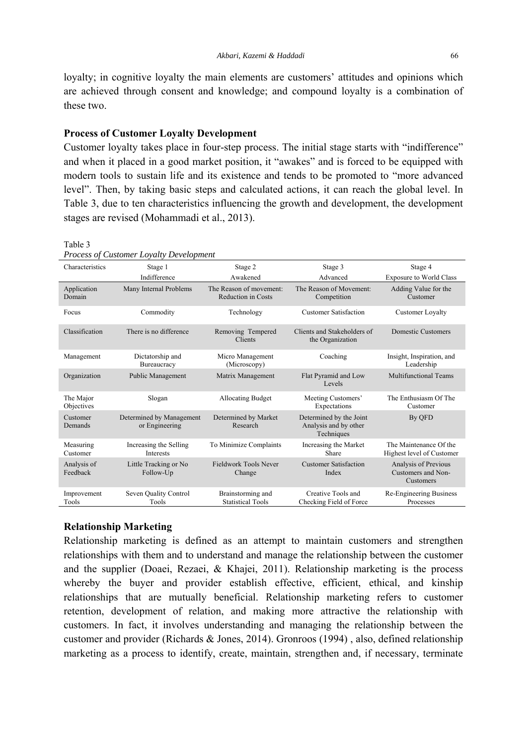loyalty; in cognitive loyalty the main elements are customers' attitudes and opinions which are achieved through consent and knowledge; and compound loyalty is a combination of these two.

# **Process of Customer Loyalty Development**

Customer loyalty takes place in four-step process. The initial stage starts with "indifference" and when it placed in a good market position, it "awakes" and is forced to be equipped with modern tools to sustain life and its existence and tends to be promoted to "more advanced level". Then, by taking basic steps and calculated actions, it can reach the global level. In Table 3, due to ten characteristics influencing the growth and development, the development stages are revised (Mohammadi et al., 2013).

#### Table 3

| Characteristics         | Stage 1                                    | Stage 2                                              | Stage 3                                                        | Stage 4                                                 |
|-------------------------|--------------------------------------------|------------------------------------------------------|----------------------------------------------------------------|---------------------------------------------------------|
|                         | Indifference                               | Awakened                                             | Advanced                                                       | <b>Exposure to World Class</b>                          |
| Application<br>Domain   | Many Internal Problems                     | The Reason of movement:<br><b>Reduction in Costs</b> | The Reason of Movement:<br>Competition                         | Adding Value for the<br>Customer                        |
| Focus                   | Commodity                                  | Technology                                           | <b>Customer Satisfaction</b>                                   | Customer Loyalty                                        |
| Classification          | There is no difference                     | Removing Tempered<br>Clients                         | Clients and Stakeholders of<br>the Organization                | <b>Domestic Customers</b>                               |
| Management              | Dictatorship and<br>Bureaucracy            | Micro Management<br>(Microscopy)                     | Coaching                                                       | Insight, Inspiration, and<br>Leadership                 |
| Organization            | Public Management                          | Matrix Management                                    | Flat Pyramid and Low<br>Levels                                 | <b>Multifunctional Teams</b>                            |
| The Major<br>Objectives | Slogan                                     | <b>Allocating Budget</b>                             | Meeting Customers'<br>Expectations                             | The Enthusiasm Of The<br>Customer                       |
| Customer<br>Demands     | Determined by Management<br>or Engineering | Determined by Market<br>Research                     | Determined by the Joint<br>Analysis and by other<br>Techniques | By QFD                                                  |
| Measuring<br>Customer   | Increasing the Selling<br><b>Interests</b> | To Minimize Complaints                               | Increasing the Market<br>Share                                 | The Maintenance Of the<br>Highest level of Customer     |
| Analysis of<br>Feedback | Little Tracking or No.<br>Follow-Up        | Fieldwork Tools Never<br>Change                      | <b>Customer Satisfaction</b><br>Index                          | Analysis of Previous<br>Customers and Non-<br>Customers |
| Improvement<br>Tools    | Seven Ouality Control<br>Tools             | Brainstorming and<br><b>Statistical Tools</b>        | Creative Tools and<br>Checking Field of Force                  | Re-Engineering Business<br>Processes                    |

*Process of Customer Loyalty Development* 

# **Relationship Marketing**

Relationship marketing is defined as an attempt to maintain customers and strengthen relationships with them and to understand and manage the relationship between the customer and the supplier (Doaei, Rezaei, & Khajei, 2011). Relationship marketing is the process whereby the buyer and provider establish effective, efficient, ethical, and kinship relationships that are mutually beneficial. Relationship marketing refers to customer retention, development of relation, and making more attractive the relationship with customers. In fact, it involves understanding and managing the relationship between the customer and provider (Richards & Jones, 2014). Gronroos (1994) , also, defined relationship marketing as a process to identify, create, maintain, strengthen and, if necessary, terminate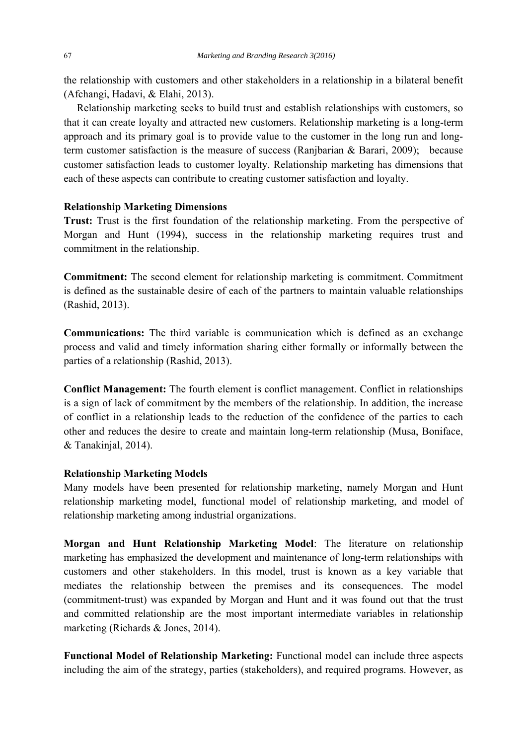the relationship with customers and other stakeholders in a relationship in a bilateral benefit (Afchangi, Hadavi, & Elahi, 2013).

 Relationship marketing seeks to build trust and establish relationships with customers, so that it can create loyalty and attracted new customers. Relationship marketing is a long-term approach and its primary goal is to provide value to the customer in the long run and longterm customer satisfaction is the measure of success (Ranjbarian & Barari, 2009); because customer satisfaction leads to customer loyalty. Relationship marketing has dimensions that each of these aspects can contribute to creating customer satisfaction and loyalty.

# **Relationship Marketing Dimensions**

**Trust:** Trust is the first foundation of the relationship marketing. From the perspective of Morgan and Hunt (1994), success in the relationship marketing requires trust and commitment in the relationship.

**Commitment:** The second element for relationship marketing is commitment. Commitment is defined as the sustainable desire of each of the partners to maintain valuable relationships (Rashid, 2013).

**Communications:** The third variable is communication which is defined as an exchange process and valid and timely information sharing either formally or informally between the parties of a relationship (Rashid, 2013).

**Conflict Management:** The fourth element is conflict management. Conflict in relationships is a sign of lack of commitment by the members of the relationship. In addition, the increase of conflict in a relationship leads to the reduction of the confidence of the parties to each other and reduces the desire to create and maintain long-term relationship (Musa, Boniface, & Tanakinjal, 2014).

# **Relationship Marketing Models**

Many models have been presented for relationship marketing, namely Morgan and Hunt relationship marketing model, functional model of relationship marketing, and model of relationship marketing among industrial organizations.

**Morgan and Hunt Relationship Marketing Model**: The literature on relationship marketing has emphasized the development and maintenance of long-term relationships with customers and other stakeholders. In this model, trust is known as a key variable that mediates the relationship between the premises and its consequences. The model (commitment-trust) was expanded by Morgan and Hunt and it was found out that the trust and committed relationship are the most important intermediate variables in relationship marketing (Richards & Jones, 2014).

**Functional Model of Relationship Marketing:** Functional model can include three aspects including the aim of the strategy, parties (stakeholders), and required programs. However, as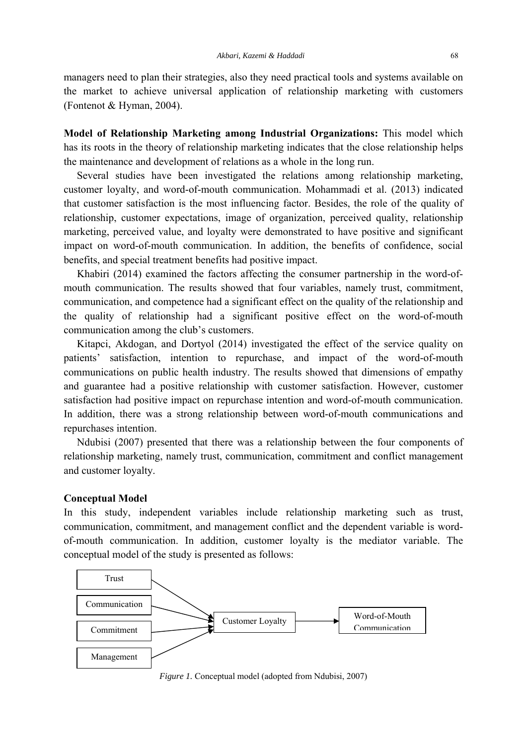managers need to plan their strategies, also they need practical tools and systems available on the market to achieve universal application of relationship marketing with customers (Fontenot & Hyman, 2004).

**Model of Relationship Marketing among Industrial Organizations:** This model which has its roots in the theory of relationship marketing indicates that the close relationship helps the maintenance and development of relations as a whole in the long run.

 Several studies have been investigated the relations among relationship marketing, customer loyalty, and word-of-mouth communication. Mohammadi et al. (2013) indicated that customer satisfaction is the most influencing factor. Besides, the role of the quality of relationship, customer expectations, image of organization, perceived quality, relationship marketing, perceived value, and loyalty were demonstrated to have positive and significant impact on word-of-mouth communication. In addition, the benefits of confidence, social benefits, and special treatment benefits had positive impact.

 Khabiri (2014) examined the factors affecting the consumer partnership in the word-ofmouth communication. The results showed that four variables, namely trust, commitment, communication, and competence had a significant effect on the quality of the relationship and the quality of relationship had a significant positive effect on the word-of-mouth communication among the club's customers.

 Kitapci, Akdogan, and Dortyol (2014) investigated the effect of the service quality on patients' satisfaction, intention to repurchase, and impact of the word-of-mouth communications on public health industry. The results showed that dimensions of empathy and guarantee had a positive relationship with customer satisfaction. However, customer satisfaction had positive impact on repurchase intention and word-of-mouth communication. In addition, there was a strong relationship between word-of-mouth communications and repurchases intention.

 Ndubisi (2007) presented that there was a relationship between the four components of relationship marketing, namely trust, communication, commitment and conflict management and customer loyalty.

# **Conceptual Model**

In this study, independent variables include relationship marketing such as trust, communication, commitment, and management conflict and the dependent variable is wordof-mouth communication. In addition, customer loyalty is the mediator variable. The conceptual model of the study is presented as follows:



*Figure 1.* Conceptual model (adopted from Ndubisi, 2007)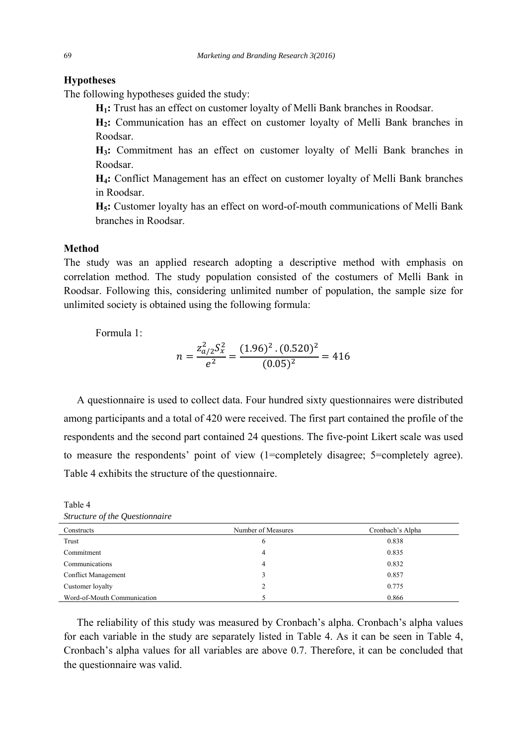# **Hypotheses**

The following hypotheses guided the study:

**H1:** Trust has an effect on customer loyalty of Melli Bank branches in Roodsar.

**H2:** Communication has an effect on customer loyalty of Melli Bank branches in Roodsar.

**H3:** Commitment has an effect on customer loyalty of Melli Bank branches in Roodsar.

**H4:** Conflict Management has an effect on customer loyalty of Melli Bank branches in Roodsar.

**H5:** Customer loyalty has an effect on word-of-mouth communications of Melli Bank branches in Roodsar.

# **Method**

The study was an applied research adopting a descriptive method with emphasis on correlation method. The study population consisted of the costumers of Melli Bank in Roodsar. Following this, considering unlimited number of population, the sample size for unlimited society is obtained using the following formula:

Formula 1:

$$
n = \frac{z_{a/2}^2 S_x^2}{e^2} = \frac{(1.96)^2 \cdot (0.520)^2}{(0.05)^2} = 416
$$

 A questionnaire is used to collect data. Four hundred sixty questionnaires were distributed among participants and a total of 420 were received. The first part contained the profile of the respondents and the second part contained 24 questions. The five-point Likert scale was used to measure the respondents' point of view (1=completely disagree; 5=completely agree). Table 4 exhibits the structure of the questionnaire.

Constructs Number of Measures Cronbach's Alpha  $\frac{6}{100}$  and  $\frac{0.838}{100}$  and  $\frac{0.838}{100}$ Commitment 0.835 Communications 4 0.832 Conflict Management 3 0.857 Customer loyalty 2 0.775 Word-of-Mouth Communication 6 0.866

Table 4 *Structure of the Questionnaire* 

 The reliability of this study was measured by Cronbach's alpha. Cronbach's alpha values for each variable in the study are separately listed in Table 4. As it can be seen in Table 4, Cronbach's alpha values for all variables are above 0.7. Therefore, it can be concluded that the questionnaire was valid.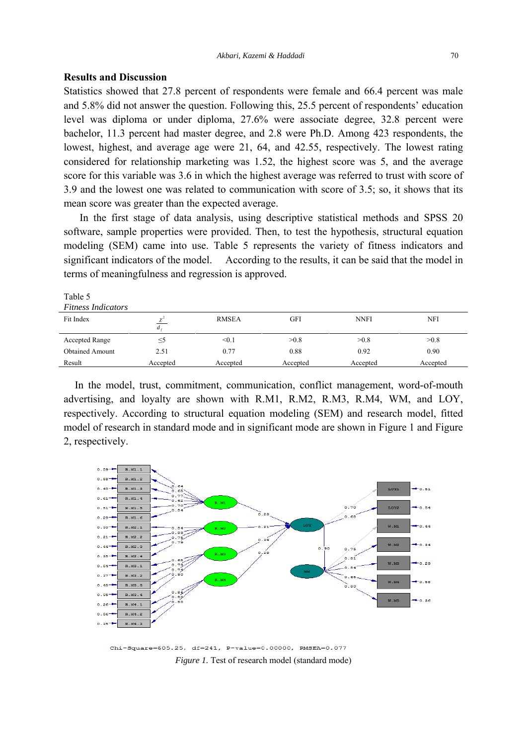# **Results and Discussion**

Statistics showed that 27.8 percent of respondents were female and 66.4 percent was male and 5.8% did not answer the question. Following this, 25.5 percent of respondents' education level was diploma or under diploma, 27.6% were associate degree, 32.8 percent were bachelor, 11.3 percent had master degree, and 2.8 were Ph.D. Among 423 respondents, the lowest, highest, and average age were 21, 64, and 42.55, respectively. The lowest rating considered for relationship marketing was 1.52, the highest score was 5, and the average score for this variable was 3.6 in which the highest average was referred to trust with score of 3.9 and the lowest one was related to communication with score of 3.5; so, it shows that its mean score was greater than the expected average.

 In the first stage of data analysis, using descriptive statistical methods and SPSS 20 software, sample properties were provided. Then, to test the hypothesis, structural equation modeling (SEM) came into use. Table 5 represents the variety of fitness indicators and significant indicators of the model. According to the results, it can be said that the model in terms of meaningfulness and regression is approved.

| Table 5                   |          |              |          |             |            |
|---------------------------|----------|--------------|----------|-------------|------------|
| <b>Fitness Indicators</b> |          |              |          |             |            |
| Fit Index                 | $d$ .    | <b>RMSEA</b> | GFI      | <b>NNFI</b> | <b>NFI</b> |
| <b>Accepted Range</b>     | $\leq$ 5 | < 0.1        | >0.8     | >0.8        | >0.8       |
| <b>Obtained Amount</b>    | 2.51     | 0.77         | 0.88     | 0.92        | 0.90       |
| Result                    | Accepted | Accepted     | Accepted | Accepted    | Accepted   |

In the model, trust, commitment, communication, conflict management, word-of-mouth advertising, and loyalty are shown with R.M1, R.M2, R.M3, R.M4, WM, and LOY, respectively. According to structural equation modeling (SEM) and research model, fitted model of research in standard mode and in significant mode are shown in Figure 1 and Figure 2, respectively.



Chi-Square=605.25, df=241, P-value=0.00000, RMSEA=0.077 *Figure 1.* Test of research model (standard mode)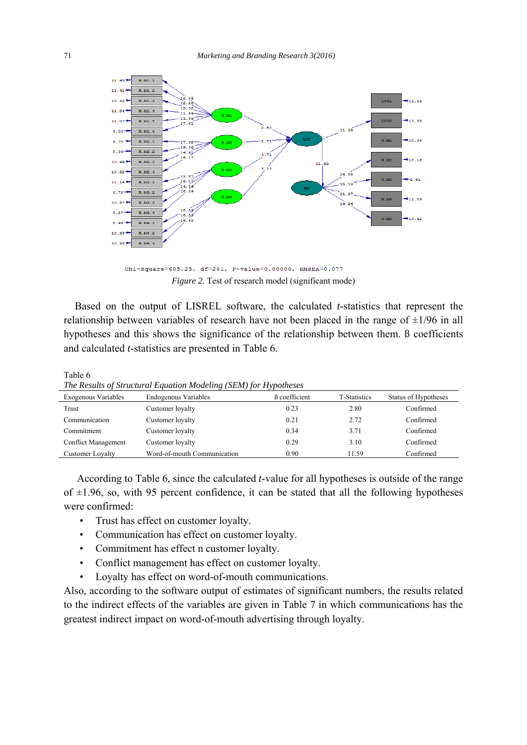

Chi-Square=605.25, df=241, P-value=0.00000, RMSEA=0.077 *Figure 2.* Test of research model (significant mode)

 Based on the output of LISREL software, the calculated *t-*statistics that represent the relationship between variables of research have not been placed in the range of  $\pm 1/96$  in all hypotheses and this shows the significance of the relationship between them. ß coefficients and calculated *t*-statistics are presented in Table 6.

| The Results of Structural Equation Modeling (SEM) for Hypotheses |                             |                      |                     |                      |  |
|------------------------------------------------------------------|-----------------------------|----------------------|---------------------|----------------------|--|
| Exogenous Variables                                              | <b>Endogenous Variables</b> | <b>B</b> coefficient | <b>T-Statistics</b> | Status of Hypotheses |  |
| Trust                                                            | Customer loyalty            | 0.23                 | 2.80                | Confirmed            |  |
| Communication                                                    | Customer loyalty            | 0.21                 | 2.72                | Confirmed            |  |
| Commitment                                                       | Customer loyalty            | 0.34                 | 3.71                | Confirmed            |  |
| Conflict Management                                              | Customer loyalty            | 0.29                 | 3.10                | Confirmed            |  |
| <b>Customer Lovalty</b>                                          | Word-of-mouth Communication | 0.90                 | 11.59               | Confirmed            |  |

Table 6 *The Results of Structural Equation Modeling (SEM) for Hypotheses* 

 According to Table 6, since the calculated *t*-value for all hypotheses is outside of the range of  $\pm 1.96$ , so, with 95 percent confidence, it can be stated that all the following hypotheses were confirmed:

- Trust has effect on customer loyalty.
- Communication has effect on customer loyalty.
- Commitment has effect n customer loyalty.
- Conflict management has effect on customer loyalty.
- Loyalty has effect on word-of-mouth communications.

Also, according to the software output of estimates of significant numbers, the results related to the indirect effects of the variables are given in Table 7 in which communications has the greatest indirect impact on word-of-mouth advertising through loyalty.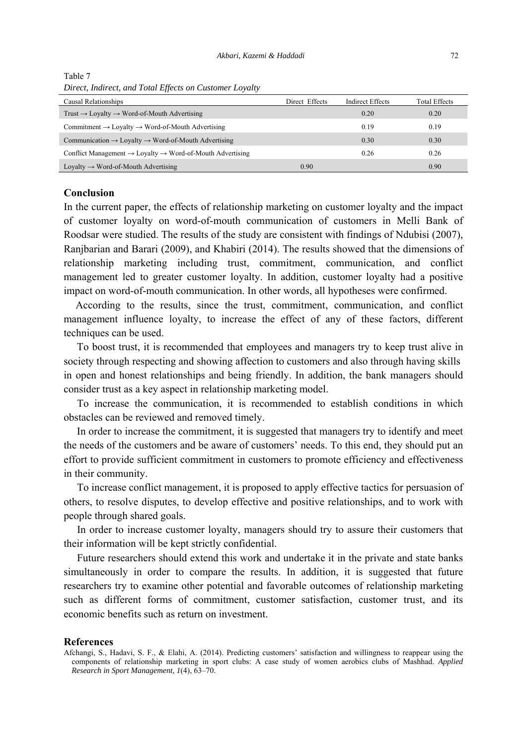| Direct, matrict, and Yout Effects on Castomer Loyally                             |                |                         |                      |
|-----------------------------------------------------------------------------------|----------------|-------------------------|----------------------|
| Causal Relationships                                                              | Direct Effects | <b>Indirect Effects</b> | <b>Total Effects</b> |
| Trust $\rightarrow$ Loyalty $\rightarrow$ Word-of-Mouth Advertising               |                | 0.20                    | 0.20                 |
| $Commitment \rightarrow Lovalty \rightarrow Word-of-Mouth$ Advertising            |                | 0.19                    | 0.19                 |
| Communication $\rightarrow$ Loyalty $\rightarrow$ Word-of-Mouth Advertising       |                | 0.30                    | 0.30                 |
| Conflict Management $\rightarrow$ Loyalty $\rightarrow$ Word-of-Mouth Advertising |                | 0.26                    | 0.26                 |
| Loyalty $\rightarrow$ Word-of-Mouth Advertising                                   | 0.90           |                         | 0.90                 |

Table 7 *Direct, Indirect, and Total Effects on Customer Loyalty* 

## **Conclusion**

In the current paper, the effects of relationship marketing on customer loyalty and the impact of customer loyalty on word-of-mouth communication of customers in Melli Bank of Roodsar were studied. The results of the study are consistent with findings of Ndubisi (2007), Ranjbarian and Barari (2009), and Khabiri (2014). The results showed that the dimensions of relationship marketing including trust, commitment, communication, and conflict management led to greater customer loyalty. In addition, customer loyalty had a positive impact on word-of-mouth communication. In other words, all hypotheses were confirmed.

 According to the results, since the trust, commitment, communication, and conflict management influence loyalty, to increase the effect of any of these factors, different techniques can be used.

 To boost trust, it is recommended that employees and managers try to keep trust alive in society through respecting and showing affection to customers and also through having skills in open and honest relationships and being friendly. In addition, the bank managers should consider trust as a key aspect in relationship marketing model.

 To increase the communication, it is recommended to establish conditions in which obstacles can be reviewed and removed timely.

 In order to increase the commitment, it is suggested that managers try to identify and meet the needs of the customers and be aware of customers' needs. To this end, they should put an effort to provide sufficient commitment in customers to promote efficiency and effectiveness in their community.

 To increase conflict management, it is proposed to apply effective tactics for persuasion of others, to resolve disputes, to develop effective and positive relationships, and to work with people through shared goals.

 In order to increase customer loyalty, managers should try to assure their customers that their information will be kept strictly confidential.

 Future researchers should extend this work and undertake it in the private and state banks simultaneously in order to compare the results. In addition, it is suggested that future researchers try to examine other potential and favorable outcomes of relationship marketing such as different forms of commitment, customer satisfaction, customer trust, and its economic benefits such as return on investment.

#### **References**

Afchangi, S., Hadavi, S. F., & Elahi, A. (2014). Predicting customers' satisfaction and willingness to reappear using the components of relationship marketing in sport clubs: A case study of women aerobics clubs of Mashhad. *Applied Research in Sport Management, 1*(4), 63–70.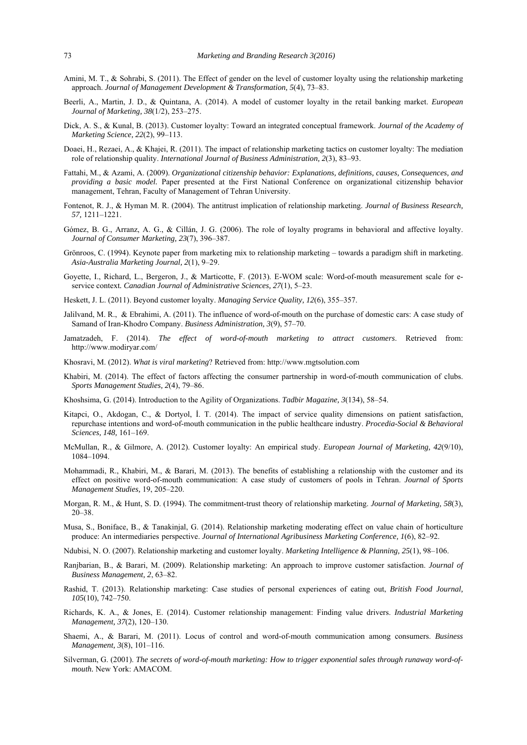- Amini, M. T., & Sohrabi, S. (2011). The Effect of gender on the level of customer loyalty using the relationship marketing approach. *Journal of Management Development & Transformation, 5*(4), 73–83.
- Beerli, A., Martin, J. D., & Quintana, A. (2014). A model of customer loyalty in the retail banking market. *European Journal of Marketing, 38*(1/2), 253–275.
- Dick, A. S., & Kunal, B. (2013). Customer loyalty: Toward an integrated conceptual framework. *Journal of the Academy of Marketing Science, 22*(2), 99–113.
- Doaei, H., Rezaei, A., & Khajei, R. (2011). The impact of relationship marketing tactics on customer loyalty: The mediation role of relationship quality. *International Journal of Business Administration, 2*(3), 83–93.
- Fattahi, M., & Azami, A. (2009). *Organizational citizenship behavior: Explanations, definitions, causes, Consequences, and providing a basic model.* Paper presented at the First National Conference on organizational citizenship behavior management, Tehran, Faculty of Management of Tehran University.
- Fontenot, R. J., & Hyman M. R. (2004). The antitrust implication of relationship marketing. *Journal of Business Research, 57,* 1211–1221.
- Gómez, B. G., Arranz, A. G., & Cillán, J. G. (2006). The role of loyalty programs in behavioral and affective loyalty. *Journal of Consumer Marketing, 23*(7), 396–387.
- Grönroos, C. (1994). Keynote paper from marketing mix to relationship marketing towards a paradigm shift in marketing. *Asia-Australia Marketing Journal, 2*(1), 9–29.
- Goyette, I., Richard, L., Bergeron, J., & Marticotte, F. (2013). E-WOM scale: Word-of-mouth measurement scale for eservice context*. Canadian Journal of Administrative Sciences, 27*(1), 5–23.
- Heskett, J. L. (2011). Beyond customer loyalty. *Managing Service Quality, 12*(6), 355–357.
- Jalilvand, M. R., & Ebrahimi, A. (2011). The influence of word-of-mouth on the purchase of domestic cars: A case study of Samand of Iran-Khodro Company. *Business Administration, 3*(9), 57–70.
- Jamatzadeh, F. (2014). *The effect of word-of-mouth marketing to attract customers*. Retrieved from: http://www.modiryar.com/
- Khosravi, M. (2012). *What is viral marketing*? Retrieved from: http://www.mgtsolution.com
- Khabiri, M. (2014). The effect of factors affecting the consumer partnership in word-of-mouth communication of clubs. *Sports Management Studies, 2*(4), 79–86.
- Khoshsima, G. (2014). Introduction to the Agility of Organizations. *Tadbir Magazine, 3*(134), 58–54.
- Kitapci, O., Akdogan, C., & Dortyol, İ. T. (2014). The impact of service quality dimensions on patient satisfaction, repurchase intentions and word-of-mouth communication in the public healthcare industry. *Procedia-Social & Behavioral Sciences, 148,* 161–169.
- McMullan, R., & Gilmore, A. (2012). Customer loyalty: An empirical study. *European Journal of Marketing, 42*(9/10), 1084–1094.
- Mohammadi, R., Khabiri, M., & Barari, M. (2013). The benefits of establishing a relationship with the customer and its effect on positive word-of-mouth communication: A case study of customers of pools in Tehran. *Journal of Sports Management Studies,* 19, 205–220.
- Morgan, R. M., & Hunt, S. D. (1994). The commitment-trust theory of relationship marketing. *Journal of Marketing, 58*(3), 20–38.
- Musa, S., Boniface, B., & Tanakinjal, G. (2014). Relationship marketing moderating effect on value chain of horticulture produce: An intermediaries perspective. *Journal of International Agribusiness Marketing Conference, 1*(6), 82–92.
- Ndubisi, N. O. (2007). Relationship marketing and customer loyalty. *Marketing Intelligence & Planning, 25*(1), 98–106.
- Ranjbarian, B., & Barari, M. (2009). Relationship marketing: An approach to improve customer satisfaction. *Journal of Business Management, 2*, 63–82.
- Rashid, T. (2013). Relationship marketing: Case studies of personal experiences of eating out, *British Food Journal, 105*(10), 742–750.
- Richards, K. A., & Jones, E. (2014). Customer relationship management: Finding value drivers. *Industrial Marketing Management, 37*(2), 120–130.
- Shaemi, A., & Barari, M. (2011). Locus of control and word-of-mouth communication among consumers. *Business Management, 3*(8), 101–116.
- Silverman, G. (2001). *The secrets of word-of-mouth marketing: How to trigger exponential sales through runaway word-ofmouth.* New York: AMACOM.